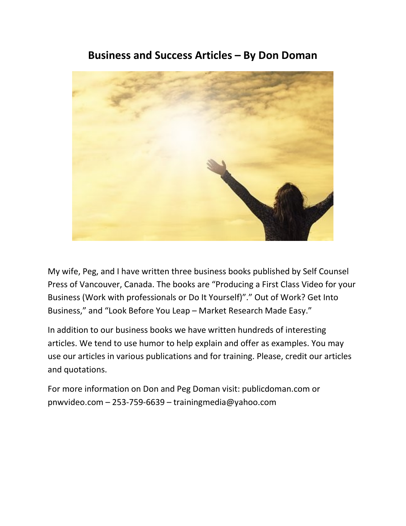# Business and Success Articles – By Don Doman



My wife, Peg, and I have written three business books published by Self Counsel Press of Vancouver, Canada. The books are "Producing a First Class Video for your Business (Work with professionals or Do It Yourself)"." Out of Work? Get Into Business," and "Look Before You Leap – Market Research Made Easy."

In addition to our business books we have written hundreds of interesting articles. We tend to use humor to help explain and offer as examples. You may use our articles in various publications and for training. Please, credit our articles and quotations.

For more information on Don and Peg Doman visit: publicdoman.com or pnwvideo.com – 253-759-6639 – trainingmedia@yahoo.com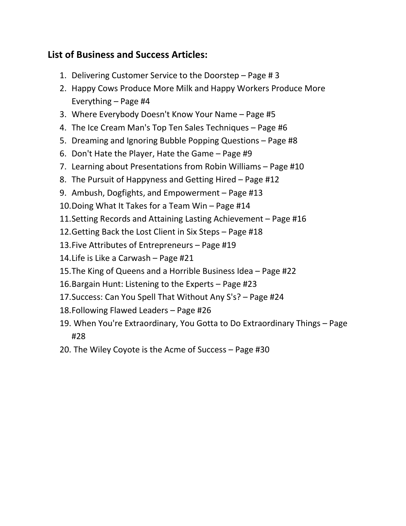## List of Business and Success Articles:

- 1. Delivering Customer Service to the Doorstep Page # 3
- 2. Happy Cows Produce More Milk and Happy Workers Produce More Everything – Page #4
- 3. Where Everybody Doesn't Know Your Name Page #5
- 4. The Ice Cream Man's Top Ten Sales Techniques Page #6
- 5. Dreaming and Ignoring Bubble Popping Questions Page #8
- 6. Don't Hate the Player, Hate the Game Page #9
- 7. Learning about Presentations from Robin Williams Page #10
- 8. The Pursuit of Happyness and Getting Hired Page #12
- 9. Ambush, Dogfights, and Empowerment Page #13
- 10.Doing What It Takes for a Team Win Page #14
- 11.Setting Records and Attaining Lasting Achievement Page #16
- 12.Getting Back the Lost Client in Six Steps Page #18
- 13.Five Attributes of Entrepreneurs Page #19
- 14.Life is Like a Carwash Page #21
- 15.The King of Queens and a Horrible Business Idea Page #22
- 16.Bargain Hunt: Listening to the Experts Page #23
- 17.Success: Can You Spell That Without Any S's? Page #24
- 18.Following Flawed Leaders Page #26
- 19. When You're Extraordinary, You Gotta to Do Extraordinary Things Page #28
- 20. The Wiley Coyote is the Acme of Success Page #30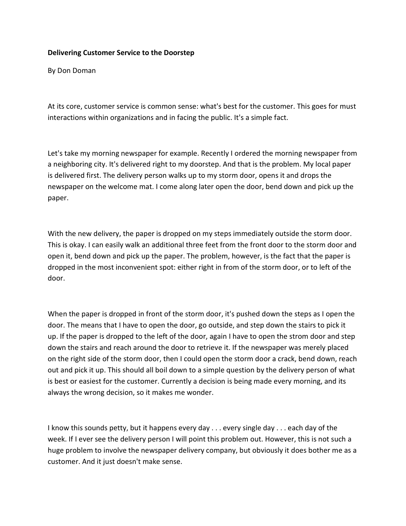#### Delivering Customer Service to the Doorstep

By Don Doman

At its core, customer service is common sense: what's best for the customer. This goes for must interactions within organizations and in facing the public. It's a simple fact.

Let's take my morning newspaper for example. Recently I ordered the morning newspaper from a neighboring city. It's delivered right to my doorstep. And that is the problem. My local paper is delivered first. The delivery person walks up to my storm door, opens it and drops the newspaper on the welcome mat. I come along later open the door, bend down and pick up the paper.

With the new delivery, the paper is dropped on my steps immediately outside the storm door. This is okay. I can easily walk an additional three feet from the front door to the storm door and open it, bend down and pick up the paper. The problem, however, is the fact that the paper is dropped in the most inconvenient spot: either right in from of the storm door, or to left of the door.

When the paper is dropped in front of the storm door, it's pushed down the steps as I open the door. The means that I have to open the door, go outside, and step down the stairs to pick it up. If the paper is dropped to the left of the door, again I have to open the strom door and step down the stairs and reach around the door to retrieve it. If the newspaper was merely placed on the right side of the storm door, then I could open the storm door a crack, bend down, reach out and pick it up. This should all boil down to a simple question by the delivery person of what is best or easiest for the customer. Currently a decision is being made every morning, and its always the wrong decision, so it makes me wonder.

I know this sounds petty, but it happens every day . . . every single day . . . each day of the week. If I ever see the delivery person I will point this problem out. However, this is not such a huge problem to involve the newspaper delivery company, but obviously it does bother me as a customer. And it just doesn't make sense.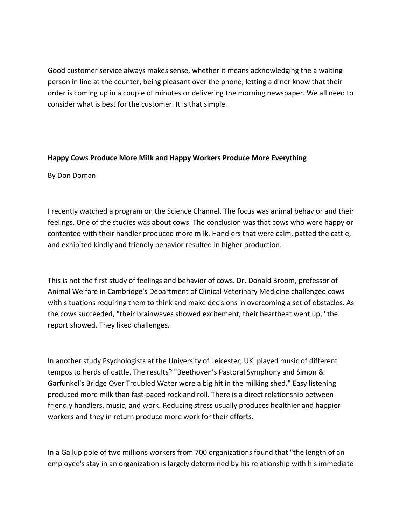Good customer service always makes sense, whether it means acknowledging the a waiting person in line at the counter, being pleasant over the phone, letting a diner know that their order is coming up in a couple of minutes or delivering the morning newspaper. We all need to consider what is best for the customer. It is that simple.

#### Happy Cows Produce More Milk and Happy Workers Produce More Everything

#### By Don Doman

I recently watched a program on the Science Channel. The focus was animal behavior and their feelings. One of the studies was about cows. The conclusion was that cows who were happy or contented with their handler produced more milk. Handlers that were calm, patted the cattle, and exhibited kindly and friendly behavior resulted in higher production.

This is not the first study of feelings and behavior of cows. Dr. Donald Broom, professor of Animal Welfare in Cambridge's Department of Clinical Veterinary Medicine challenged cows with situations requiring them to think and make decisions in overcoming a set of obstacles. As the cows succeeded, "their brainwaves showed excitement, their heartbeat went up," the report showed. They liked challenges.

In another study Psychologists at the University of Leicester, UK, played music of different tempos to herds of cattle. The results? "Beethoven's Pastoral Symphony and Simon & Garfunkel's Bridge Over Troubled Water were a big hit in the milking shed." Easy listening produced more milk than fast-paced rock and roll. There is a direct relationship between friendly handlers, music, and work. Reducing stress usually produces healthier and happier workers and they in return produce more work for their efforts.

In a Gallup pole of two millions workers from 700 organizations found that "the length of an employee's stay in an organization is largely determined by his relationship with his immediate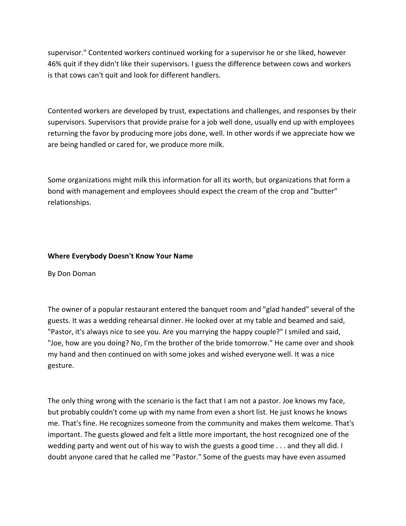supervisor." Contented workers continued working for a supervisor he or she liked, however 46% quit if they didn't like their supervisors. I guess the difference between cows and workers is that cows can't quit and look for different handlers.

Contented workers are developed by trust, expectations and challenges, and responses by their supervisors. Supervisors that provide praise for a job well done, usually end up with employees returning the favor by producing more jobs done, well. In other words if we appreciate how we are being handled or cared for, we produce more milk.

Some organizations might milk this information for all its worth, but organizations that form a bond with management and employees should expect the cream of the crop and "butter" relationships.

## Where Everybody Doesn't Know Your Name

By Don Doman

The owner of a popular restaurant entered the banquet room and "glad handed" several of the guests. It was a wedding rehearsal dinner. He looked over at my table and beamed and said, "Pastor, it's always nice to see you. Are you marrying the happy couple?" I smiled and said, "Joe, how are you doing? No, I'm the brother of the bride tomorrow." He came over and shook my hand and then continued on with some jokes and wished everyone well. It was a nice gesture.

The only thing wrong with the scenario is the fact that I am not a pastor. Joe knows my face, but probably couldn't come up with my name from even a short list. He just knows he knows me. That's fine. He recognizes someone from the community and makes them welcome. That's important. The guests glowed and felt a little more important, the host recognized one of the wedding party and went out of his way to wish the guests a good time . . . and they all did. I doubt anyone cared that he called me "Pastor." Some of the guests may have even assumed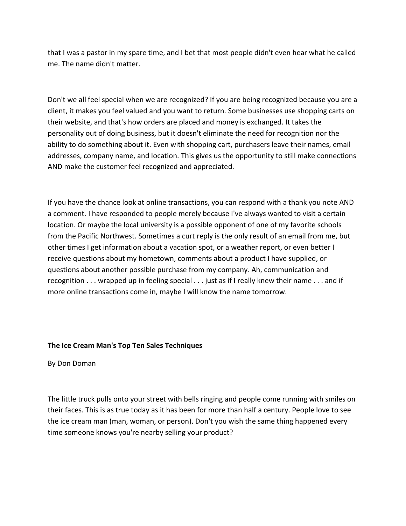that I was a pastor in my spare time, and I bet that most people didn't even hear what he called me. The name didn't matter.

Don't we all feel special when we are recognized? If you are being recognized because you are a client, it makes you feel valued and you want to return. Some businesses use shopping carts on their website, and that's how orders are placed and money is exchanged. It takes the personality out of doing business, but it doesn't eliminate the need for recognition nor the ability to do something about it. Even with shopping cart, purchasers leave their names, email addresses, company name, and location. This gives us the opportunity to still make connections AND make the customer feel recognized and appreciated.

If you have the chance look at online transactions, you can respond with a thank you note AND a comment. I have responded to people merely because I've always wanted to visit a certain location. Or maybe the local university is a possible opponent of one of my favorite schools from the Pacific Northwest. Sometimes a curt reply is the only result of an email from me, but other times I get information about a vacation spot, or a weather report, or even better I receive questions about my hometown, comments about a product I have supplied, or questions about another possible purchase from my company. Ah, communication and recognition . . . wrapped up in feeling special . . . just as if I really knew their name . . . and if more online transactions come in, maybe I will know the name tomorrow.

#### The Ice Cream Man's Top Ten Sales Techniques

By Don Doman

The little truck pulls onto your street with bells ringing and people come running with smiles on their faces. This is as true today as it has been for more than half a century. People love to see the ice cream man (man, woman, or person). Don't you wish the same thing happened every time someone knows you're nearby selling your product?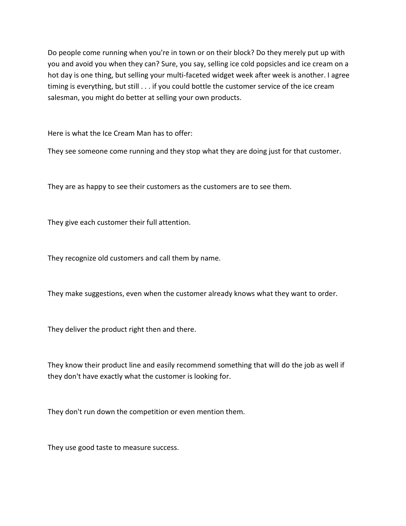Do people come running when you're in town or on their block? Do they merely put up with you and avoid you when they can? Sure, you say, selling ice cold popsicles and ice cream on a hot day is one thing, but selling your multi-faceted widget week after week is another. I agree timing is everything, but still . . . if you could bottle the customer service of the ice cream salesman, you might do better at selling your own products.

Here is what the Ice Cream Man has to offer:

They see someone come running and they stop what they are doing just for that customer.

They are as happy to see their customers as the customers are to see them.

They give each customer their full attention.

They recognize old customers and call them by name.

They make suggestions, even when the customer already knows what they want to order.

They deliver the product right then and there.

They know their product line and easily recommend something that will do the job as well if they don't have exactly what the customer is looking for.

They don't run down the competition or even mention them.

They use good taste to measure success.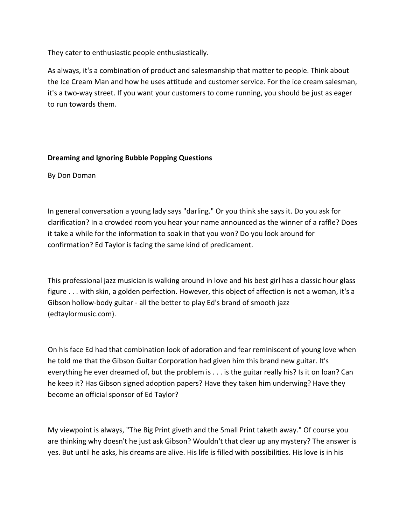They cater to enthusiastic people enthusiastically.

As always, it's a combination of product and salesmanship that matter to people. Think about the Ice Cream Man and how he uses attitude and customer service. For the ice cream salesman, it's a two-way street. If you want your customers to come running, you should be just as eager to run towards them.

## Dreaming and Ignoring Bubble Popping Questions

By Don Doman

In general conversation a young lady says "darling." Or you think she says it. Do you ask for clarification? In a crowded room you hear your name announced as the winner of a raffle? Does it take a while for the information to soak in that you won? Do you look around for confirmation? Ed Taylor is facing the same kind of predicament.

This professional jazz musician is walking around in love and his best girl has a classic hour glass figure . . . with skin, a golden perfection. However, this object of affection is not a woman, it's a Gibson hollow-body guitar - all the better to play Ed's brand of smooth jazz (edtaylormusic.com).

On his face Ed had that combination look of adoration and fear reminiscent of young love when he told me that the Gibson Guitar Corporation had given him this brand new guitar. It's everything he ever dreamed of, but the problem is . . . is the guitar really his? Is it on loan? Can he keep it? Has Gibson signed adoption papers? Have they taken him underwing? Have they become an official sponsor of Ed Taylor?

My viewpoint is always, "The Big Print giveth and the Small Print taketh away." Of course you are thinking why doesn't he just ask Gibson? Wouldn't that clear up any mystery? The answer is yes. But until he asks, his dreams are alive. His life is filled with possibilities. His love is in his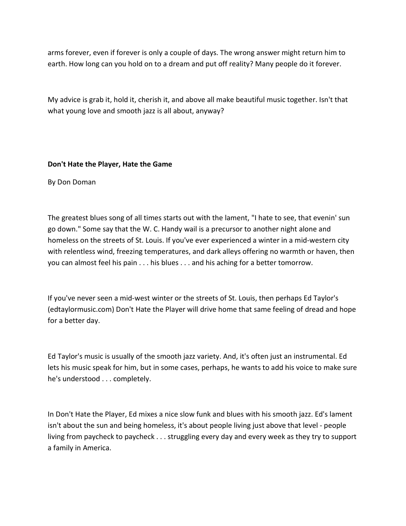arms forever, even if forever is only a couple of days. The wrong answer might return him to earth. How long can you hold on to a dream and put off reality? Many people do it forever.

My advice is grab it, hold it, cherish it, and above all make beautiful music together. Isn't that what young love and smooth jazz is all about, anyway?

## Don't Hate the Player, Hate the Game

By Don Doman

The greatest blues song of all times starts out with the lament, "I hate to see, that evenin' sun go down." Some say that the W. C. Handy wail is a precursor to another night alone and homeless on the streets of St. Louis. If you've ever experienced a winter in a mid-western city with relentless wind, freezing temperatures, and dark alleys offering no warmth or haven, then you can almost feel his pain . . . his blues . . . and his aching for a better tomorrow.

If you've never seen a mid-west winter or the streets of St. Louis, then perhaps Ed Taylor's (edtaylormusic.com) Don't Hate the Player will drive home that same feeling of dread and hope for a better day.

Ed Taylor's music is usually of the smooth jazz variety. And, it's often just an instrumental. Ed lets his music speak for him, but in some cases, perhaps, he wants to add his voice to make sure he's understood . . . completely.

In Don't Hate the Player, Ed mixes a nice slow funk and blues with his smooth jazz. Ed's lament isn't about the sun and being homeless, it's about people living just above that level - people living from paycheck to paycheck . . . struggling every day and every week as they try to support a family in America.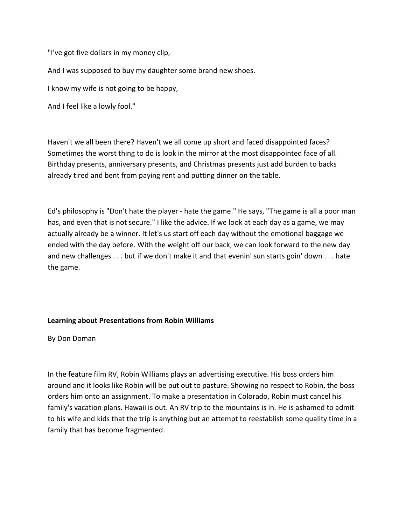"I've got five dollars in my money clip,

And I was supposed to buy my daughter some brand new shoes.

I know my wife is not going to be happy,

And I feel like a lowly fool."

Haven't we all been there? Haven't we all come up short and faced disappointed faces? Sometimes the worst thing to do is look in the mirror at the most disappointed face of all. Birthday presents, anniversary presents, and Christmas presents just add burden to backs already tired and bent from paying rent and putting dinner on the table.

Ed's philosophy is "Don't hate the player - hate the game." He says, "The game is all a poor man has, and even that is not secure." I like the advice. If we look at each day as a game, we may actually already be a winner. It let's us start off each day without the emotional baggage we ended with the day before. With the weight off our back, we can look forward to the new day and new challenges . . . but if we don't make it and that evenin' sun starts goin' down . . . hate the game.

#### Learning about Presentations from Robin Williams

By Don Doman

In the feature film RV, Robin Williams plays an advertising executive. His boss orders him around and it looks like Robin will be put out to pasture. Showing no respect to Robin, the boss orders him onto an assignment. To make a presentation in Colorado, Robin must cancel his family's vacation plans. Hawaii is out. An RV trip to the mountains is in. He is ashamed to admit to his wife and kids that the trip is anything but an attempt to reestablish some quality time in a family that has become fragmented.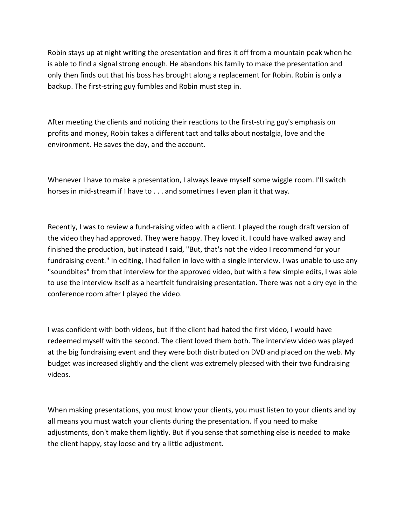Robin stays up at night writing the presentation and fires it off from a mountain peak when he is able to find a signal strong enough. He abandons his family to make the presentation and only then finds out that his boss has brought along a replacement for Robin. Robin is only a backup. The first-string guy fumbles and Robin must step in.

After meeting the clients and noticing their reactions to the first-string guy's emphasis on profits and money, Robin takes a different tact and talks about nostalgia, love and the environment. He saves the day, and the account.

Whenever I have to make a presentation, I always leave myself some wiggle room. I'll switch horses in mid-stream if I have to . . . and sometimes I even plan it that way.

Recently, I was to review a fund-raising video with a client. I played the rough draft version of the video they had approved. They were happy. They loved it. I could have walked away and finished the production, but instead I said, "But, that's not the video I recommend for your fundraising event." In editing, I had fallen in love with a single interview. I was unable to use any "soundbites" from that interview for the approved video, but with a few simple edits, I was able to use the interview itself as a heartfelt fundraising presentation. There was not a dry eye in the conference room after I played the video.

I was confident with both videos, but if the client had hated the first video, I would have redeemed myself with the second. The client loved them both. The interview video was played at the big fundraising event and they were both distributed on DVD and placed on the web. My budget was increased slightly and the client was extremely pleased with their two fundraising videos.

When making presentations, you must know your clients, you must listen to your clients and by all means you must watch your clients during the presentation. If you need to make adjustments, don't make them lightly. But if you sense that something else is needed to make the client happy, stay loose and try a little adjustment.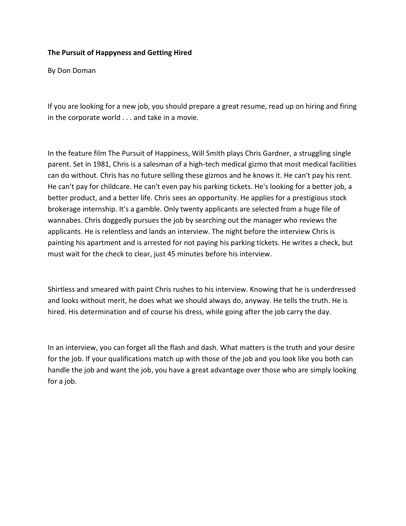#### The Pursuit of Happyness and Getting Hired

By Don Doman

If you are looking for a new job, you should prepare a great resume, read up on hiring and firing in the corporate world . . . and take in a movie.

In the feature film The Pursuit of Happiness, Will Smith plays Chris Gardner, a struggling single parent. Set in 1981, Chris is a salesman of a high-tech medical gizmo that most medical facilities can do without. Chris has no future selling these gizmos and he knows it. He can't pay his rent. He can't pay for childcare. He can't even pay his parking tickets. He's looking for a better job, a better product, and a better life. Chris sees an opportunity. He applies for a prestigious stock brokerage internship. It's a gamble. Only twenty applicants are selected from a huge file of wannabes. Chris doggedly pursues the job by searching out the manager who reviews the applicants. He is relentless and lands an interview. The night before the interview Chris is painting his apartment and is arrested for not paying his parking tickets. He writes a check, but must wait for the check to clear, just 45 minutes before his interview.

Shirtless and smeared with paint Chris rushes to his interview. Knowing that he is underdressed and looks without merit, he does what we should always do, anyway. He tells the truth. He is hired. His determination and of course his dress, while going after the job carry the day.

In an interview, you can forget all the flash and dash. What matters is the truth and your desire for the job. If your qualifications match up with those of the job and you look like you both can handle the job and want the job, you have a great advantage over those who are simply looking for a job.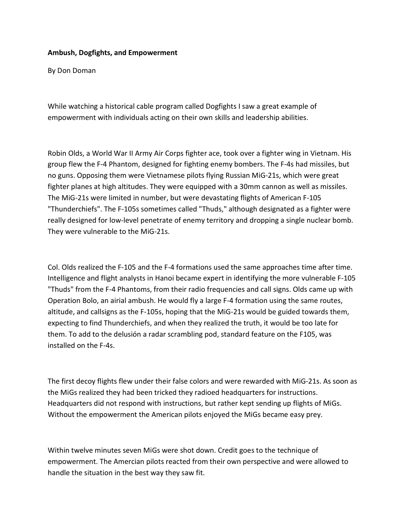#### Ambush, Dogfights, and Empowerment

By Don Doman

While watching a historical cable program called Dogfights I saw a great example of empowerment with individuals acting on their own skills and leadership abilities.

Robin Olds, a World War II Army Air Corps fighter ace, took over a fighter wing in Vietnam. His group flew the F-4 Phantom, designed for fighting enemy bombers. The F-4s had missiles, but no guns. Opposing them were Vietnamese pilots flying Russian MiG-21s, which were great fighter planes at high altitudes. They were equipped with a 30mm cannon as well as missiles. The MiG-21s were limited in number, but were devastating flights of American F-105 "Thunderchiefs". The F-105s sometimes called "Thuds," although designated as a fighter were really designed for low-level penetrate of enemy territory and dropping a single nuclear bomb. They were vulnerable to the MiG-21s.

Col. Olds realized the F-105 and the F-4 formations used the same approaches time after time. Intelligence and flight analysts in Hanoi became expert in identifying the more vulnerable F-105 "Thuds" from the F-4 Phantoms, from their radio frequencies and call signs. Olds came up with Operation Bolo, an airial ambush. He would fly a large F-4 formation using the same routes, altitude, and callsigns as the F-105s, hoping that the MiG-21s would be guided towards them, expecting to find Thunderchiefs, and when they realized the truth, it would be too late for them. To add to the delusión a radar scrambling pod, standard feature on the F105, was installed on the F-4s.

The first decoy flights flew under their false colors and were rewarded with MiG-21s. As soon as the MiGs realized they had been tricked they radioed headquarters for instructions. Headquarters did not respond with instructions, but rather kept sending up flights of MiGs. Without the empowerment the American pilots enjoyed the MiGs became easy prey.

Within twelve minutes seven MiGs were shot down. Credit goes to the technique of empowerment. The Amercian pilots reacted from their own perspective and were allowed to handle the situation in the best way they saw fit.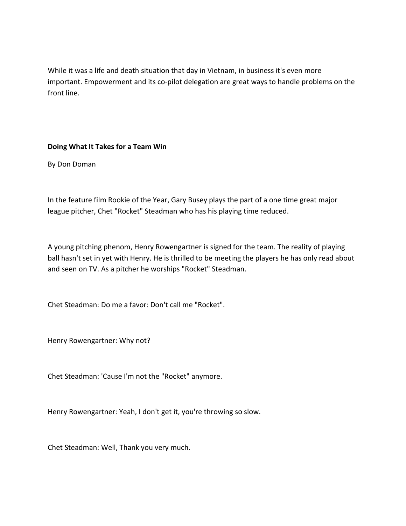While it was a life and death situation that day in Vietnam, in business it's even more important. Empowerment and its co-pilot delegation are great ways to handle problems on the front line.

## Doing What It Takes for a Team Win

By Don Doman

In the feature film Rookie of the Year, Gary Busey plays the part of a one time great major league pitcher, Chet "Rocket" Steadman who has his playing time reduced.

A young pitching phenom, Henry Rowengartner is signed for the team. The reality of playing ball hasn't set in yet with Henry. He is thrilled to be meeting the players he has only read about and seen on TV. As a pitcher he worships "Rocket" Steadman.

Chet Steadman: Do me a favor: Don't call me "Rocket".

Henry Rowengartner: Why not?

Chet Steadman: 'Cause I'm not the "Rocket" anymore.

Henry Rowengartner: Yeah, I don't get it, you're throwing so slow.

Chet Steadman: Well, Thank you very much.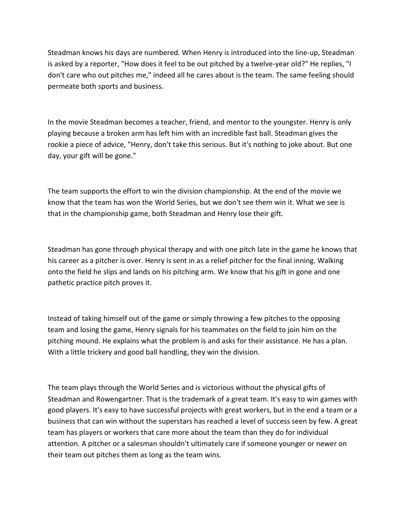Steadman knows his days are numbered. When Henry is introduced into the line-up, Steadman is asked by a reporter, "How does it feel to be out pitched by a twelve-year old?" He replies, "I don't care who out pitches me," indeed all he cares about is the team. The same feeling should permeate both sports and business.

In the movie Steadman becomes a teacher, friend, and mentor to the youngster. Henry is only playing because a broken arm has left him with an incredible fast ball. Steadman gives the rookie a piece of advice, "Henry, don't take this serious. But it's nothing to joke about. But one day, your gift will be gone."

The team supports the effort to win the division championship. At the end of the movie we know that the team has won the World Series, but we don't see them win it. What we see is that in the championship game, both Steadman and Henry lose their gift.

Steadman has gone through physical therapy and with one pitch late in the game he knows that his career as a pitcher is over. Henry is sent in as a relief pitcher for the final inning. Walking onto the field he slips and lands on his pitching arm. We know that his gift in gone and one pathetic practice pitch proves it.

Instead of taking himself out of the game or simply throwing a few pitches to the opposing team and losing the game, Henry signals for his teammates on the field to join him on the pitching mound. He explains what the problem is and asks for their assistance. He has a plan. With a little trickery and good ball handling, they win the division.

The team plays through the World Series and is victorious without the physical gifts of Steadman and Rowengartner. That is the trademark of a great team. It's easy to win games with good players. It's easy to have successful projects with great workers, but in the end a team or a business that can win without the superstars has reached a level of success seen by few. A great team has players or workers that care more about the team than they do for individual attention. A pitcher or a salesman shouldn't ultimately care if someone younger or newer on their team out pitches them as long as the team wins.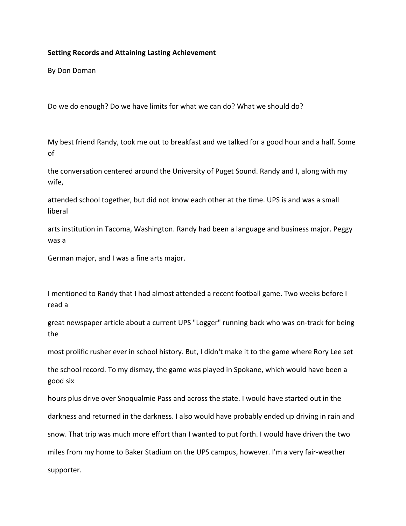#### Setting Records and Attaining Lasting Achievement

By Don Doman

Do we do enough? Do we have limits for what we can do? What we should do?

My best friend Randy, took me out to breakfast and we talked for a good hour and a half. Some of

the conversation centered around the University of Puget Sound. Randy and I, along with my wife,

attended school together, but did not know each other at the time. UPS is and was a small liberal

arts institution in Tacoma, Washington. Randy had been a language and business major. Peggy was a

German major, and I was a fine arts major.

I mentioned to Randy that I had almost attended a recent football game. Two weeks before I read a

great newspaper article about a current UPS "Logger" running back who was on-track for being the

most prolific rusher ever in school history. But, I didn't make it to the game where Rory Lee set

the school record. To my dismay, the game was played in Spokane, which would have been a good six

hours plus drive over Snoqualmie Pass and across the state. I would have started out in the darkness and returned in the darkness. I also would have probably ended up driving in rain and snow. That trip was much more effort than I wanted to put forth. I would have driven the two miles from my home to Baker Stadium on the UPS campus, however. I'm a very fair-weather supporter.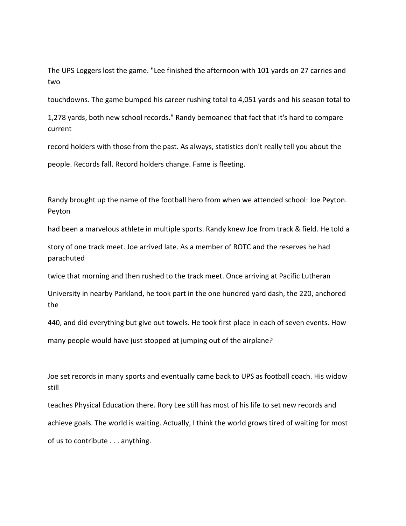The UPS Loggers lost the game. "Lee finished the afternoon with 101 yards on 27 carries and two

touchdowns. The game bumped his career rushing total to 4,051 yards and his season total to

1,278 yards, both new school records." Randy bemoaned that fact that it's hard to compare current

record holders with those from the past. As always, statistics don't really tell you about the

people. Records fall. Record holders change. Fame is fleeting.

Randy brought up the name of the football hero from when we attended school: Joe Peyton. Peyton

had been a marvelous athlete in multiple sports. Randy knew Joe from track & field. He told a

story of one track meet. Joe arrived late. As a member of ROTC and the reserves he had parachuted

twice that morning and then rushed to the track meet. Once arriving at Pacific Lutheran

University in nearby Parkland, he took part in the one hundred yard dash, the 220, anchored the

440, and did everything but give out towels. He took first place in each of seven events. How

many people would have just stopped at jumping out of the airplane?

Joe set records in many sports and eventually came back to UPS as football coach. His widow still

teaches Physical Education there. Rory Lee still has most of his life to set new records and achieve goals. The world is waiting. Actually, I think the world grows tired of waiting for most of us to contribute . . . anything.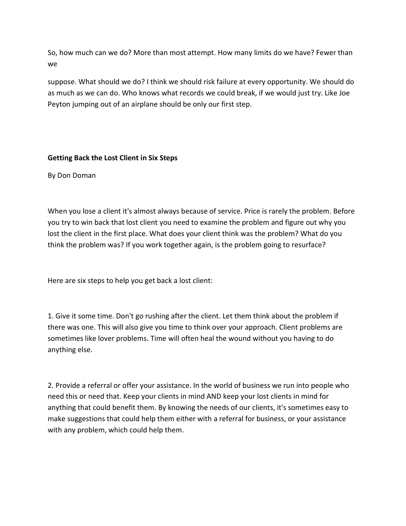So, how much can we do? More than most attempt. How many limits do we have? Fewer than we

suppose. What should we do? I think we should risk failure at every opportunity. We should do as much as we can do. Who knows what records we could break, if we would just try. Like Joe Peyton jumping out of an airplane should be only our first step.

## Getting Back the Lost Client in Six Steps

By Don Doman

When you lose a client it's almost always because of service. Price is rarely the problem. Before you try to win back that lost client you need to examine the problem and figure out why you lost the client in the first place. What does your client think was the problem? What do you think the problem was? If you work together again, is the problem going to resurface?

Here are six steps to help you get back a lost client:

1. Give it some time. Don't go rushing after the client. Let them think about the problem if there was one. This will also give you time to think over your approach. Client problems are sometimes like lover problems. Time will often heal the wound without you having to do anything else.

2. Provide a referral or offer your assistance. In the world of business we run into people who need this or need that. Keep your clients in mind AND keep your lost clients in mind for anything that could benefit them. By knowing the needs of our clients, it's sometimes easy to make suggestions that could help them either with a referral for business, or your assistance with any problem, which could help them.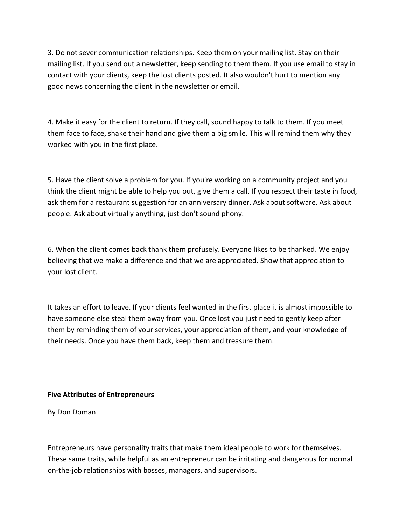3. Do not sever communication relationships. Keep them on your mailing list. Stay on their mailing list. If you send out a newsletter, keep sending to them them. If you use email to stay in contact with your clients, keep the lost clients posted. It also wouldn't hurt to mention any good news concerning the client in the newsletter or email.

4. Make it easy for the client to return. If they call, sound happy to talk to them. If you meet them face to face, shake their hand and give them a big smile. This will remind them why they worked with you in the first place.

5. Have the client solve a problem for you. If you're working on a community project and you think the client might be able to help you out, give them a call. If you respect their taste in food, ask them for a restaurant suggestion for an anniversary dinner. Ask about software. Ask about people. Ask about virtually anything, just don't sound phony.

6. When the client comes back thank them profusely. Everyone likes to be thanked. We enjoy believing that we make a difference and that we are appreciated. Show that appreciation to your lost client.

It takes an effort to leave. If your clients feel wanted in the first place it is almost impossible to have someone else steal them away from you. Once lost you just need to gently keep after them by reminding them of your services, your appreciation of them, and your knowledge of their needs. Once you have them back, keep them and treasure them.

#### Five Attributes of Entrepreneurs

By Don Doman

Entrepreneurs have personality traits that make them ideal people to work for themselves. These same traits, while helpful as an entrepreneur can be irritating and dangerous for normal on-the-job relationships with bosses, managers, and supervisors.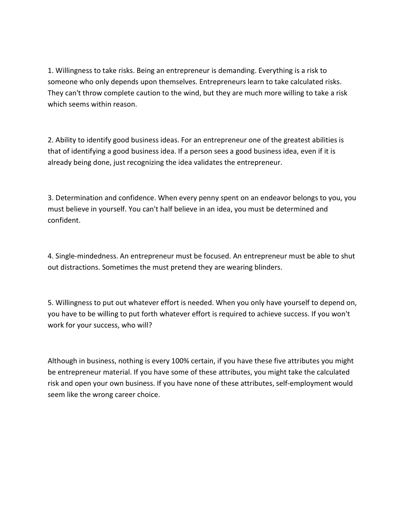1. Willingness to take risks. Being an entrepreneur is demanding. Everything is a risk to someone who only depends upon themselves. Entrepreneurs learn to take calculated risks. They can't throw complete caution to the wind, but they are much more willing to take a risk which seems within reason.

2. Ability to identify good business ideas. For an entrepreneur one of the greatest abilities is that of identifying a good business idea. If a person sees a good business idea, even if it is already being done, just recognizing the idea validates the entrepreneur.

3. Determination and confidence. When every penny spent on an endeavor belongs to you, you must believe in yourself. You can't half believe in an idea, you must be determined and confident.

4. Single-mindedness. An entrepreneur must be focused. An entrepreneur must be able to shut out distractions. Sometimes the must pretend they are wearing blinders.

5. Willingness to put out whatever effort is needed. When you only have yourself to depend on, you have to be willing to put forth whatever effort is required to achieve success. If you won't work for your success, who will?

Although in business, nothing is every 100% certain, if you have these five attributes you might be entrepreneur material. If you have some of these attributes, you might take the calculated risk and open your own business. If you have none of these attributes, self-employment would seem like the wrong career choice.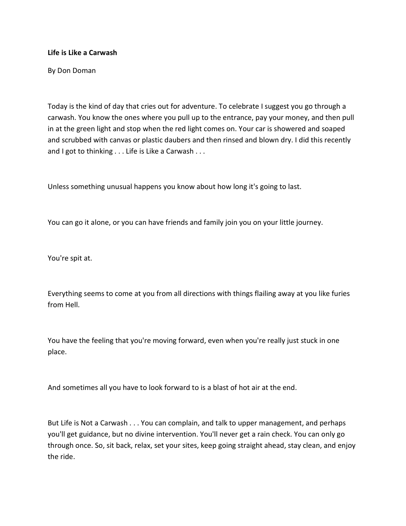#### Life is Like a Carwash

By Don Doman

Today is the kind of day that cries out for adventure. To celebrate I suggest you go through a carwash. You know the ones where you pull up to the entrance, pay your money, and then pull in at the green light and stop when the red light comes on. Your car is showered and soaped and scrubbed with canvas or plastic daubers and then rinsed and blown dry. I did this recently and I got to thinking . . . Life is Like a Carwash . . .

Unless something unusual happens you know about how long it's going to last.

You can go it alone, or you can have friends and family join you on your little journey.

You're spit at.

Everything seems to come at you from all directions with things flailing away at you like furies from Hell.

You have the feeling that you're moving forward, even when you're really just stuck in one place.

And sometimes all you have to look forward to is a blast of hot air at the end.

But Life is Not a Carwash . . . You can complain, and talk to upper management, and perhaps you'll get guidance, but no divine intervention. You'll never get a rain check. You can only go through once. So, sit back, relax, set your sites, keep going straight ahead, stay clean, and enjoy the ride.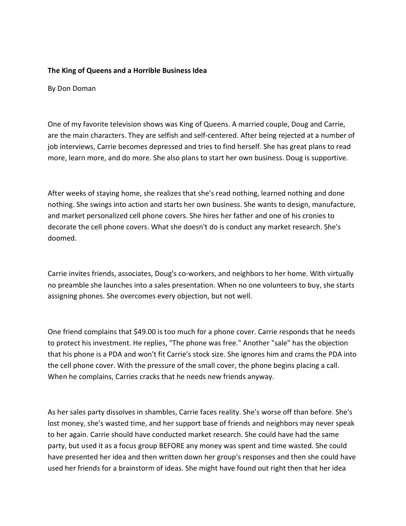#### The King of Queens and a Horrible Business Idea

By Don Doman

One of my favorite television shows was King of Queens. A married couple, Doug and Carrie, are the main characters. They are selfish and self-centered. After being rejected at a number of job interviews, Carrie becomes depressed and tries to find herself. She has great plans to read more, learn more, and do more. She also plans to start her own business. Doug is supportive.

After weeks of staying home, she realizes that she's read nothing, learned nothing and done nothing. She swings into action and starts her own business. She wants to design, manufacture, and market personalized cell phone covers. She hires her father and one of his cronies to decorate the cell phone covers. What she doesn't do is conduct any market research. She's doomed.

Carrie invites friends, associates, Doug's co-workers, and neighbors to her home. With virtually no preamble she launches into a sales presentation. When no one volunteers to buy, she starts assigning phones. She overcomes every objection, but not well.

One friend complains that \$49.00 is too much for a phone cover. Carrie responds that he needs to protect his investment. He replies, "The phone was free." Another "sale" has the objection that his phone is a PDA and won't fit Carrie's stock size. She ignores him and crams the PDA into the cell phone cover. With the pressure of the small cover, the phone begins placing a call. When he complains, Carries cracks that he needs new friends anyway.

As her sales party dissolves in shambles, Carrie faces reality. She's worse off than before. She's lost money, she's wasted time, and her support base of friends and neighbors may never speak to her again. Carrie should have conducted market research. She could have had the same party, but used it as a focus group BEFORE any money was spent and time wasted. She could have presented her idea and then written down her group's responses and then she could have used her friends for a brainstorm of ideas. She might have found out right then that her idea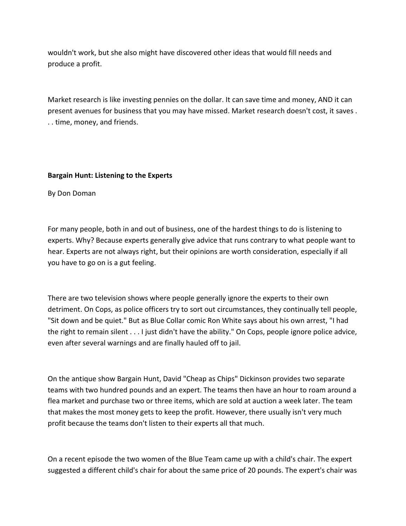wouldn't work, but she also might have discovered other ideas that would fill needs and produce a profit.

Market research is like investing pennies on the dollar. It can save time and money, AND it can present avenues for business that you may have missed. Market research doesn't cost, it saves . . . time, money, and friends.

#### Bargain Hunt: Listening to the Experts

By Don Doman

For many people, both in and out of business, one of the hardest things to do is listening to experts. Why? Because experts generally give advice that runs contrary to what people want to hear. Experts are not always right, but their opinions are worth consideration, especially if all you have to go on is a gut feeling.

There are two television shows where people generally ignore the experts to their own detriment. On Cops, as police officers try to sort out circumstances, they continually tell people, "Sit down and be quiet." But as Blue Collar comic Ron White says about his own arrest, "I had the right to remain silent . . . I just didn't have the ability." On Cops, people ignore police advice, even after several warnings and are finally hauled off to jail.

On the antique show Bargain Hunt, David "Cheap as Chips" Dickinson provides two separate teams with two hundred pounds and an expert. The teams then have an hour to roam around a flea market and purchase two or three items, which are sold at auction a week later. The team that makes the most money gets to keep the profit. However, there usually isn't very much profit because the teams don't listen to their experts all that much.

On a recent episode the two women of the Blue Team came up with a child's chair. The expert suggested a different child's chair for about the same price of 20 pounds. The expert's chair was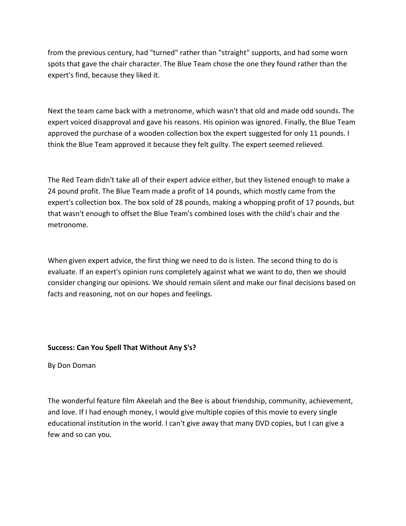from the previous century, had "turned" rather than "straight" supports, and had some worn spots that gave the chair character. The Blue Team chose the one they found rather than the expert's find, because they liked it.

Next the team came back with a metronome, which wasn't that old and made odd sounds. The expert voiced disapproval and gave his reasons. His opinion was ignored. Finally, the Blue Team approved the purchase of a wooden collection box the expert suggested for only 11 pounds. I think the Blue Team approved it because they felt guilty. The expert seemed relieved.

The Red Team didn't take all of their expert advice either, but they listened enough to make a 24 pound profit. The Blue Team made a profit of 14 pounds, which mostly came from the expert's collection box. The box sold of 28 pounds, making a whopping profit of 17 pounds, but that wasn't enough to offset the Blue Team's combined loses with the child's chair and the metronome.

When given expert advice, the first thing we need to do is listen. The second thing to do is evaluate. If an expert's opinion runs completely against what we want to do, then we should consider changing our opinions. We should remain silent and make our final decisions based on facts and reasoning, not on our hopes and feelings.

#### Success: Can You Spell That Without Any S's?

By Don Doman

The wonderful feature film Akeelah and the Bee is about friendship, community, achievement, and love. If I had enough money, I would give multiple copies of this movie to every single educational institution in the world. I can't give away that many DVD copies, but I can give a few and so can you.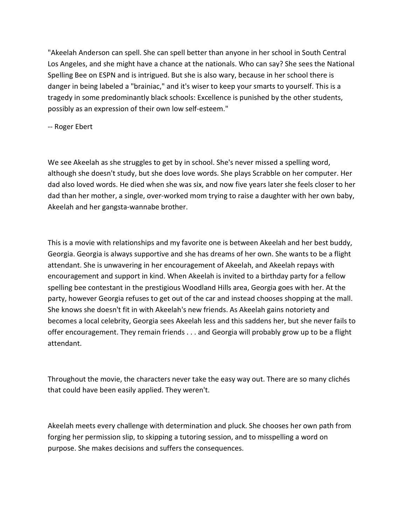"Akeelah Anderson can spell. She can spell better than anyone in her school in South Central Los Angeles, and she might have a chance at the nationals. Who can say? She sees the National Spelling Bee on ESPN and is intrigued. But she is also wary, because in her school there is danger in being labeled a "brainiac," and it's wiser to keep your smarts to yourself. This is a tragedy in some predominantly black schools: Excellence is punished by the other students, possibly as an expression of their own low self-esteem."

-- Roger Ebert

We see Akeelah as she struggles to get by in school. She's never missed a spelling word, although she doesn't study, but she does love words. She plays Scrabble on her computer. Her dad also loved words. He died when she was six, and now five years later she feels closer to her dad than her mother, a single, over-worked mom trying to raise a daughter with her own baby, Akeelah and her gangsta-wannabe brother.

This is a movie with relationships and my favorite one is between Akeelah and her best buddy, Georgia. Georgia is always supportive and she has dreams of her own. She wants to be a flight attendant. She is unwavering in her encouragement of Akeelah, and Akeelah repays with encouragement and support in kind. When Akeelah is invited to a birthday party for a fellow spelling bee contestant in the prestigious Woodland Hills area, Georgia goes with her. At the party, however Georgia refuses to get out of the car and instead chooses shopping at the mall. She knows she doesn't fit in with Akeelah's new friends. As Akeelah gains notoriety and becomes a local celebrity, Georgia sees Akeelah less and this saddens her, but she never fails to offer encouragement. They remain friends . . . and Georgia will probably grow up to be a flight attendant.

Throughout the movie, the characters never take the easy way out. There are so many clichés that could have been easily applied. They weren't.

Akeelah meets every challenge with determination and pluck. She chooses her own path from forging her permission slip, to skipping a tutoring session, and to misspelling a word on purpose. She makes decisions and suffers the consequences.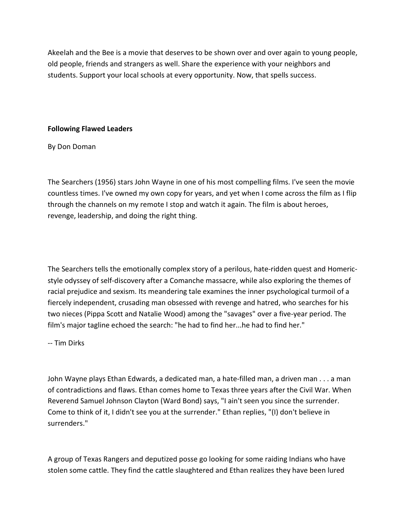Akeelah and the Bee is a movie that deserves to be shown over and over again to young people, old people, friends and strangers as well. Share the experience with your neighbors and students. Support your local schools at every opportunity. Now, that spells success.

## Following Flawed Leaders

By Don Doman

The Searchers (1956) stars John Wayne in one of his most compelling films. I've seen the movie countless times. I've owned my own copy for years, and yet when I come across the film as I flip through the channels on my remote I stop and watch it again. The film is about heroes, revenge, leadership, and doing the right thing.

The Searchers tells the emotionally complex story of a perilous, hate-ridden quest and Homericstyle odyssey of self-discovery after a Comanche massacre, while also exploring the themes of racial prejudice and sexism. Its meandering tale examines the inner psychological turmoil of a fiercely independent, crusading man obsessed with revenge and hatred, who searches for his two nieces (Pippa Scott and Natalie Wood) among the "savages" over a five-year period. The film's major tagline echoed the search: "he had to find her...he had to find her."

-- Tim Dirks

John Wayne plays Ethan Edwards, a dedicated man, a hate-filled man, a driven man . . . a man of contradictions and flaws. Ethan comes home to Texas three years after the Civil War. When Reverend Samuel Johnson Clayton (Ward Bond) says, "I ain't seen you since the surrender. Come to think of it, I didn't see you at the surrender." Ethan replies, "(I) don't believe in surrenders."

A group of Texas Rangers and deputized posse go looking for some raiding Indians who have stolen some cattle. They find the cattle slaughtered and Ethan realizes they have been lured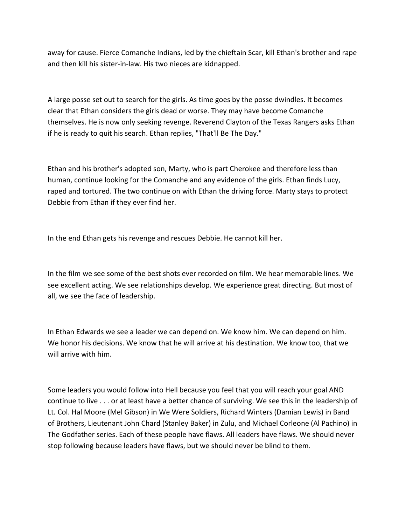away for cause. Fierce Comanche Indians, led by the chieftain Scar, kill Ethan's brother and rape and then kill his sister-in-law. His two nieces are kidnapped.

A large posse set out to search for the girls. As time goes by the posse dwindles. It becomes clear that Ethan considers the girls dead or worse. They may have become Comanche themselves. He is now only seeking revenge. Reverend Clayton of the Texas Rangers asks Ethan if he is ready to quit his search. Ethan replies, "That'll Be The Day."

Ethan and his brother's adopted son, Marty, who is part Cherokee and therefore less than human, continue looking for the Comanche and any evidence of the girls. Ethan finds Lucy, raped and tortured. The two continue on with Ethan the driving force. Marty stays to protect Debbie from Ethan if they ever find her.

In the end Ethan gets his revenge and rescues Debbie. He cannot kill her.

In the film we see some of the best shots ever recorded on film. We hear memorable lines. We see excellent acting. We see relationships develop. We experience great directing. But most of all, we see the face of leadership.

In Ethan Edwards we see a leader we can depend on. We know him. We can depend on him. We honor his decisions. We know that he will arrive at his destination. We know too, that we will arrive with him.

Some leaders you would follow into Hell because you feel that you will reach your goal AND continue to live . . . or at least have a better chance of surviving. We see this in the leadership of Lt. Col. Hal Moore (Mel Gibson) in We Were Soldiers, Richard Winters (Damian Lewis) in Band of Brothers, Lieutenant John Chard (Stanley Baker) in Zulu, and Michael Corleone (Al Pachino) in The Godfather series. Each of these people have flaws. All leaders have flaws. We should never stop following because leaders have flaws, but we should never be blind to them.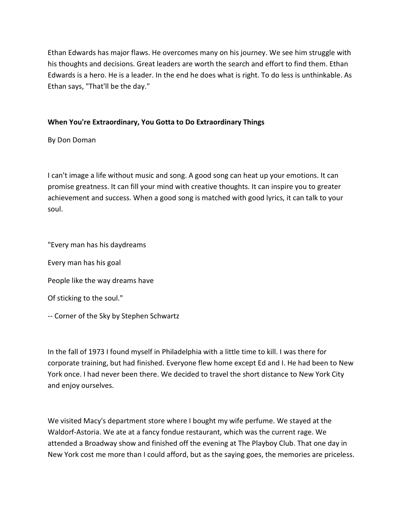Ethan Edwards has major flaws. He overcomes many on his journey. We see him struggle with his thoughts and decisions. Great leaders are worth the search and effort to find them. Ethan Edwards is a hero. He is a leader. In the end he does what is right. To do less is unthinkable. As Ethan says, "That'll be the day."

## When You're Extraordinary, You Gotta to Do Extraordinary Things

By Don Doman

I can't image a life without music and song. A good song can heat up your emotions. It can promise greatness. It can fill your mind with creative thoughts. It can inspire you to greater achievement and success. When a good song is matched with good lyrics, it can talk to your soul.

"Every man has his daydreams

Every man has his goal

People like the way dreams have

Of sticking to the soul."

-- Corner of the Sky by Stephen Schwartz

In the fall of 1973 I found myself in Philadelphia with a little time to kill. I was there for corporate training, but had finished. Everyone flew home except Ed and I. He had been to New York once. I had never been there. We decided to travel the short distance to New York City and enjoy ourselves.

We visited Macy's department store where I bought my wife perfume. We stayed at the Waldorf-Astoria. We ate at a fancy fondue restaurant, which was the current rage. We attended a Broadway show and finished off the evening at The Playboy Club. That one day in New York cost me more than I could afford, but as the saying goes, the memories are priceless.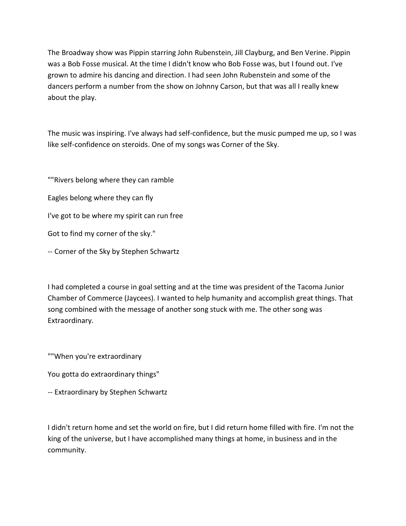The Broadway show was Pippin starring John Rubenstein, Jill Clayburg, and Ben Verine. Pippin was a Bob Fosse musical. At the time I didn't know who Bob Fosse was, but I found out. I've grown to admire his dancing and direction. I had seen John Rubenstein and some of the dancers perform a number from the show on Johnny Carson, but that was all I really knew about the play.

The music was inspiring. I've always had self-confidence, but the music pumped me up, so I was like self-confidence on steroids. One of my songs was Corner of the Sky.

""Rivers belong where they can ramble Eagles belong where they can fly I've got to be where my spirit can run free Got to find my corner of the sky." -- Corner of the Sky by Stephen Schwartz

I had completed a course in goal setting and at the time was president of the Tacoma Junior Chamber of Commerce (Jaycees). I wanted to help humanity and accomplish great things. That song combined with the message of another song stuck with me. The other song was Extraordinary.

""When you're extraordinary

You gotta do extraordinary things"

-- Extraordinary by Stephen Schwartz

I didn't return home and set the world on fire, but I did return home filled with fire. I'm not the king of the universe, but I have accomplished many things at home, in business and in the community.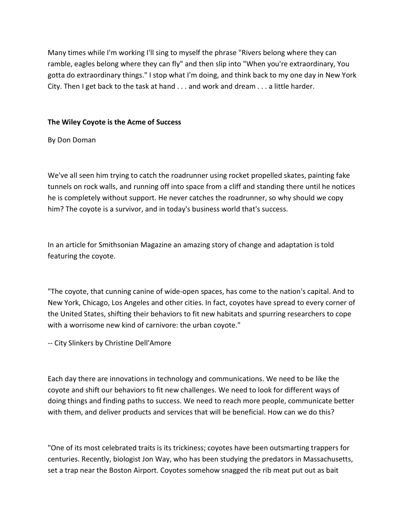Many times while I'm working I'll sing to myself the phrase "Rivers belong where they can ramble, eagles belong where they can fly" and then slip into "When you're extraordinary, You gotta do extraordinary things." I stop what I'm doing, and think back to my one day in New York City. Then I get back to the task at hand . . . and work and dream . . . a little harder.

## The Wiley Coyote is the Acme of Success

By Don Doman

We've all seen him trying to catch the roadrunner using rocket propelled skates, painting fake tunnels on rock walls, and running off into space from a cliff and standing there until he notices he is completely without support. He never catches the roadrunner, so why should we copy him? The coyote is a survivor, and in today's business world that's success.

In an article for Smithsonian Magazine an amazing story of change and adaptation is told featuring the coyote.

"The coyote, that cunning canine of wide-open spaces, has come to the nation's capital. And to New York, Chicago, Los Angeles and other cities. In fact, coyotes have spread to every corner of the United States, shifting their behaviors to fit new habitats and spurring researchers to cope with a worrisome new kind of carnivore: the urban coyote."

-- City Slinkers by Christine Dell'Amore

Each day there are innovations in technology and communications. We need to be like the coyote and shift our behaviors to fit new challenges. We need to look for different ways of doing things and finding paths to success. We need to reach more people, communicate better with them, and deliver products and services that will be beneficial. How can we do this?

"One of its most celebrated traits is its trickiness; coyotes have been outsmarting trappers for centuries. Recently, biologist Jon Way, who has been studying the predators in Massachusetts, set a trap near the Boston Airport. Coyotes somehow snagged the rib meat put out as bait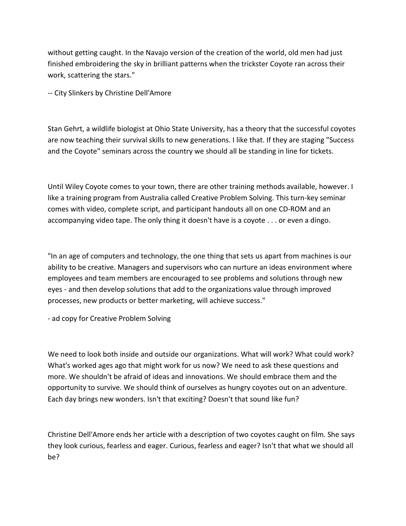without getting caught. In the Navajo version of the creation of the world, old men had just finished embroidering the sky in brilliant patterns when the trickster Coyote ran across their work, scattering the stars."

-- City Slinkers by Christine Dell'Amore

Stan Gehrt, a wildlife biologist at Ohio State University, has a theory that the successful coyotes are now teaching their survival skills to new generations. I like that. If they are staging "Success and the Coyote" seminars across the country we should all be standing in line for tickets.

Until Wiley Coyote comes to your town, there are other training methods available, however. I like a training program from Australia called Creative Problem Solving. This turn-key seminar comes with video, complete script, and participant handouts all on one CD-ROM and an accompanying video tape. The only thing it doesn't have is a coyote . . . or even a dingo.

"In an age of computers and technology, the one thing that sets us apart from machines is our ability to be creative. Managers and supervisors who can nurture an ideas environment where employees and team members are encouraged to see problems and solutions through new eyes - and then develop solutions that add to the organizations value through improved processes, new products or better marketing, will achieve success."

- ad copy for Creative Problem Solving

We need to look both inside and outside our organizations. What will work? What could work? What's worked ages ago that might work for us now? We need to ask these questions and more. We shouldn't be afraid of ideas and innovations. We should embrace them and the opportunity to survive. We should think of ourselves as hungry coyotes out on an adventure. Each day brings new wonders. Isn't that exciting? Doesn't that sound like fun?

Christine Dell'Amore ends her article with a description of two coyotes caught on film. She says they look curious, fearless and eager. Curious, fearless and eager? Isn't that what we should all be?